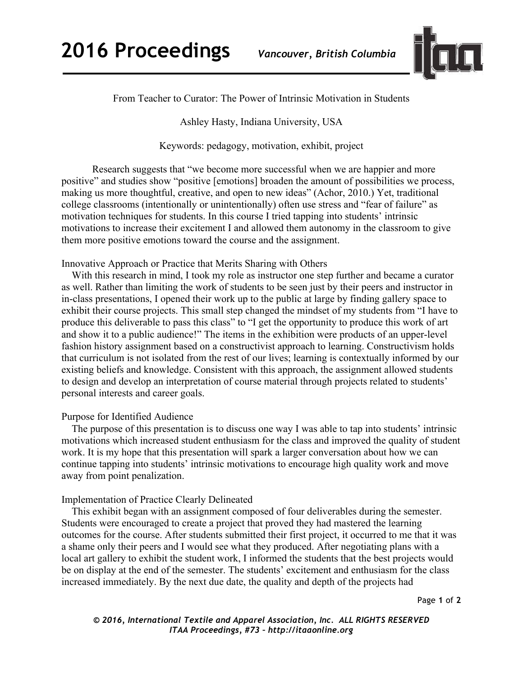

From Teacher to Curator: The Power of Intrinsic Motivation in Students

Ashley Hasty, Indiana University, USA

Keywords: pedagogy, motivation, exhibit, project

Research suggests that "we become more successful when we are happier and more positive" and studies show "positive [emotions] broaden the amount of possibilities we process, making us more thoughtful, creative, and open to new ideas" (Achor, 2010.) Yet, traditional college classrooms (intentionally or unintentionally) often use stress and "fear of failure" as motivation techniques for students. In this course I tried tapping into students' intrinsic motivations to increase their excitement I and allowed them autonomy in the classroom to give them more positive emotions toward the course and the assignment.

## Innovative Approach or Practice that Merits Sharing with Others

 With this research in mind, I took my role as instructor one step further and became a curator as well. Rather than limiting the work of students to be seen just by their peers and instructor in in-class presentations, I opened their work up to the public at large by finding gallery space to exhibit their course projects. This small step changed the mindset of my students from "I have to produce this deliverable to pass this class" to "I get the opportunity to produce this work of art and show it to a public audience!" The items in the exhibition were products of an upper-level fashion history assignment based on a constructivist approach to learning. Constructivism holds that curriculum is not isolated from the rest of our lives; learning is contextually informed by our existing beliefs and knowledge. Consistent with this approach, the assignment allowed students to design and develop an interpretation of course material through projects related to students' personal interests and career goals.

## Purpose for Identified Audience

 The purpose of this presentation is to discuss one way I was able to tap into students' intrinsic motivations which increased student enthusiasm for the class and improved the quality of student work. It is my hope that this presentation will spark a larger conversation about how we can continue tapping into students' intrinsic motivations to encourage high quality work and move away from point penalization.

## Implementation of Practice Clearly Delineated

 This exhibit began with an assignment composed of four deliverables during the semester. Students were encouraged to create a project that proved they had mastered the learning outcomes for the course. After students submitted their first project, it occurred to me that it was a shame only their peers and I would see what they produced. After negotiating plans with a local art gallery to exhibit the student work, I informed the students that the best projects would be on display at the end of the semester. The students' excitement and enthusiasm for the class increased immediately. By the next due date, the quality and depth of the projects had